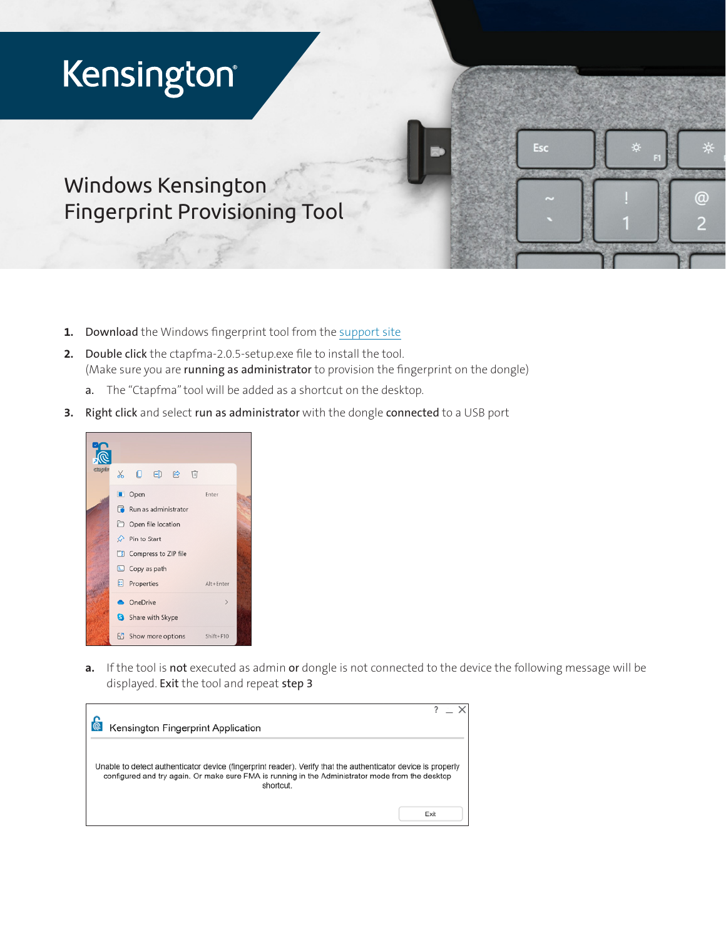

- 1. Download the Windows fingerprint tool from the [support site](https://www.kensington.com/software/verimark-setup/verimark-guard-setup-guide/)
- 2. Double click the ctapfma-2.0.5-setup.exe file to install the tool. (Make sure you are running as administrator to provision the fingerprint on the dongle)
	- a. The "Ctapfma" tool will be added as a shortcut on the desktop.
- **3.** Right click and select run as administrator with the dongle connected to a USB port



a. If the tool is not executed as admin or dongle is not connected to the device the following message will be displayed. Exit the tool and repeat step 3

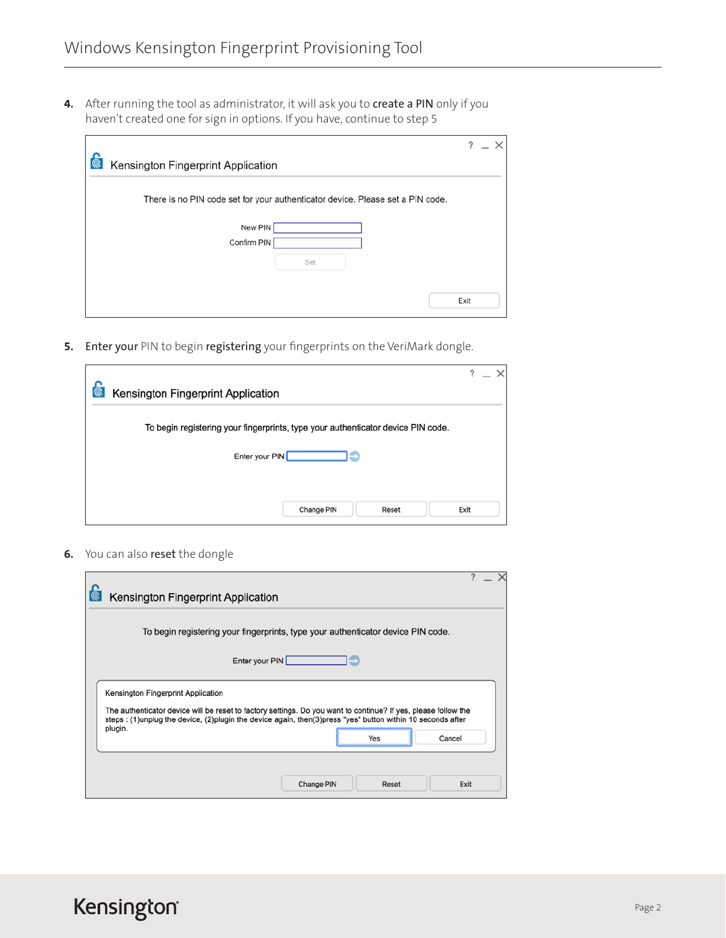4. After running the tool as administrator, it will ask you to create a PIN only if you haven't created one for sign in options. If you have, continue to step 5

|                                    |                                                                                | ?    |
|------------------------------------|--------------------------------------------------------------------------------|------|
| Kensington Fingerprint Application |                                                                                |      |
| New PIN<br>Confirm PIN             | There is no PIN code set for your authenticator device. Please set a PIN code. |      |
|                                    | Set                                                                            |      |
|                                    |                                                                                |      |
|                                    |                                                                                | Exit |

5. Enter your PIN to begin registering your fingerprints on the VeriMark dongle.

| Kensington Fingerprint Application                                                                 |      |  |  |
|----------------------------------------------------------------------------------------------------|------|--|--|
| To begin registering your fingerprints, type your authenticator device PIN code.<br>Enter your PIN |      |  |  |
| Change PIN<br>Reset                                                                                | Exit |  |  |

6. You can also reset the dongle

| Kensington Fingerprint Application                                                                                                                                                                                                                                                             |      |
|------------------------------------------------------------------------------------------------------------------------------------------------------------------------------------------------------------------------------------------------------------------------------------------------|------|
| To begin registering your fingerprints, type your authenticator device PIN code.                                                                                                                                                                                                               |      |
| Enter your PIN                                                                                                                                                                                                                                                                                 |      |
| Kensington Fingerprint Application<br>The authenticator device will be reset to factory settings. Do you want to continue? If yes, please follow the<br>steps: (1)unplug the device, (2)plugin the device again, then(3)press "yes" button within 10 seconds after<br>plugin.<br>Cancel<br>Yes |      |
| Change PIN<br>Reset                                                                                                                                                                                                                                                                            | Exit |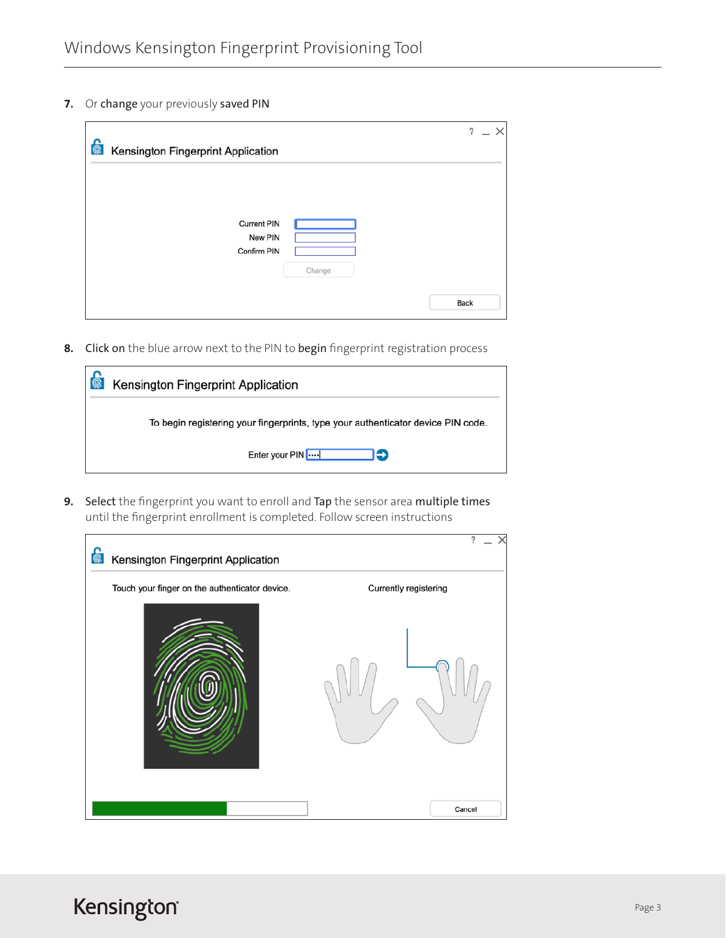7. Or change your previously saved PIN

| Kensington Fingerprint Application           | ?              |
|----------------------------------------------|----------------|
|                                              |                |
| <b>Current PIN</b><br>New PIN<br>Confirm PIN |                |
|                                              | Change<br>Back |

8. Click on the blue arrow next to the PIN to begin fingerprint registration process

| Kensington Fingerprint Application                                               |  |
|----------------------------------------------------------------------------------|--|
| To begin registering your fingerprints, type your authenticator device PIN code. |  |
| Enter your PIN<br>ы                                                              |  |

9. Select the fingerprint you want to enroll and Tap the sensor area multiple times until the fingerprint enrollment is completed. Follow screen instructions

| Kensington Fingerprint Application             |                       |
|------------------------------------------------|-----------------------|
| Touch your finger on the authenticator device. | Currently registering |
|                                                |                       |
|                                                | Cancel                |